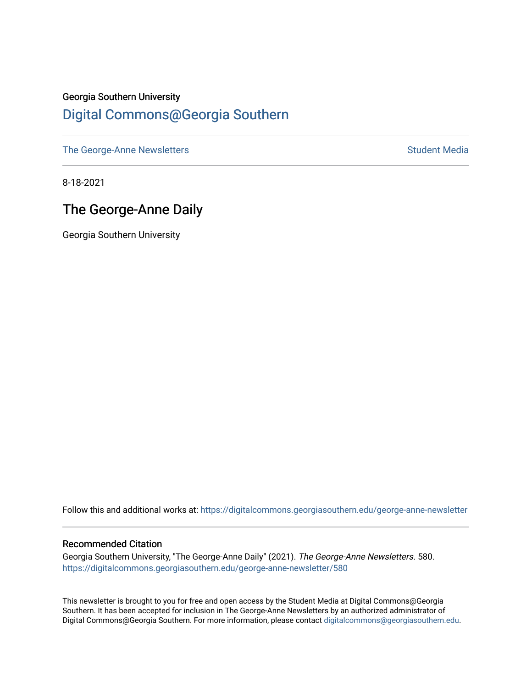## Georgia Southern University [Digital Commons@Georgia Southern](https://digitalcommons.georgiasouthern.edu/)

[The George-Anne Newsletters](https://digitalcommons.georgiasouthern.edu/george-anne-newsletter) **Student Media** Student Media

8-18-2021

## The George-Anne Daily

Georgia Southern University

Follow this and additional works at: [https://digitalcommons.georgiasouthern.edu/george-anne-newsletter](https://digitalcommons.georgiasouthern.edu/george-anne-newsletter?utm_source=digitalcommons.georgiasouthern.edu%2Fgeorge-anne-newsletter%2F580&utm_medium=PDF&utm_campaign=PDFCoverPages)

#### Recommended Citation

Georgia Southern University, "The George-Anne Daily" (2021). The George-Anne Newsletters. 580. [https://digitalcommons.georgiasouthern.edu/george-anne-newsletter/580](https://digitalcommons.georgiasouthern.edu/george-anne-newsletter/580?utm_source=digitalcommons.georgiasouthern.edu%2Fgeorge-anne-newsletter%2F580&utm_medium=PDF&utm_campaign=PDFCoverPages) 

This newsletter is brought to you for free and open access by the Student Media at Digital Commons@Georgia Southern. It has been accepted for inclusion in The George-Anne Newsletters by an authorized administrator of Digital Commons@Georgia Southern. For more information, please contact [digitalcommons@georgiasouthern.edu.](mailto:digitalcommons@georgiasouthern.edu)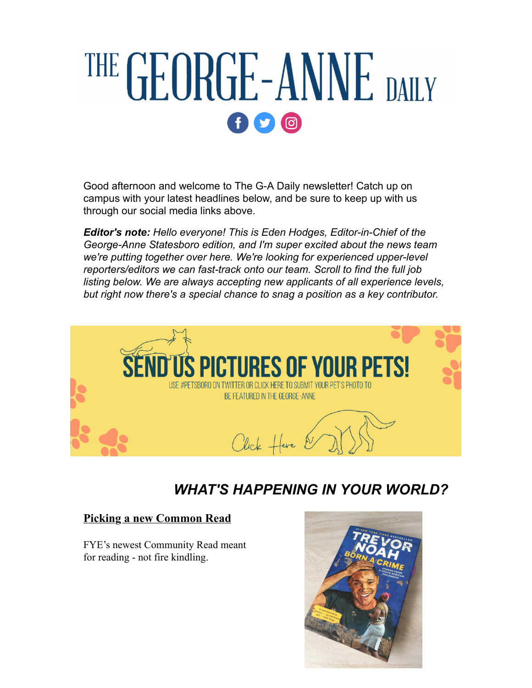# THE GEORGE-ANNE DAILY  $f$   $\circ$   $\circ$

Good afternoon and welcome to The G-A Daily newsletter! Catch up on campus with your latest headlines below, and be sure to keep up with us through our social media links above.

*Editor's note: Hello everyone! This is Eden Hodges, Editor-in-Chief of the George-Anne Statesboro edition, and I'm super excited about the news team we're putting together over here. We're looking for experienced upper-level reporters/editors we can fast-track onto our team. Scroll to find the full job listing below. We are always accepting new applicants of all experience levels, but right now there's a special chance to snag a position as a key contributor.*



## *WHAT'S HAPPENING IN YOUR WORLD?*

### **[Picking a new Common Read](https://r20.rs6.net/tn.jsp?f=001D74Vn77JYQyBwhzuSAeGQBcCzeiWXqKDMG034zjHpLdzeWCLMuGj5I6lVnv5PvZj7kzeanNEe78-g4UVJ-dooOXY_8km3xNlEyWMv1XysQRzC7pTV3E7c6lt4pwZUSf3JEkkGOgB1xY4wXkhbWNRH97ZQd_O821tuOh0T2a9L7PCzQIKXd3hKawNxJ6uaThJgkgm_f6oFVoKzndLM0PZfQ==&c=95CzWsHIsZV4udqli298KeKnybUIQ-9Dk7zoXGEaWsuFmqdX_Oa72A==&ch=2KCKHOH50a2roOJSbzyqzscHJNvEaIfAsVpT9tYcOwEOHwxMdJQyrw==)**

FYE's newest Community Read meant for reading - not fire kindling.

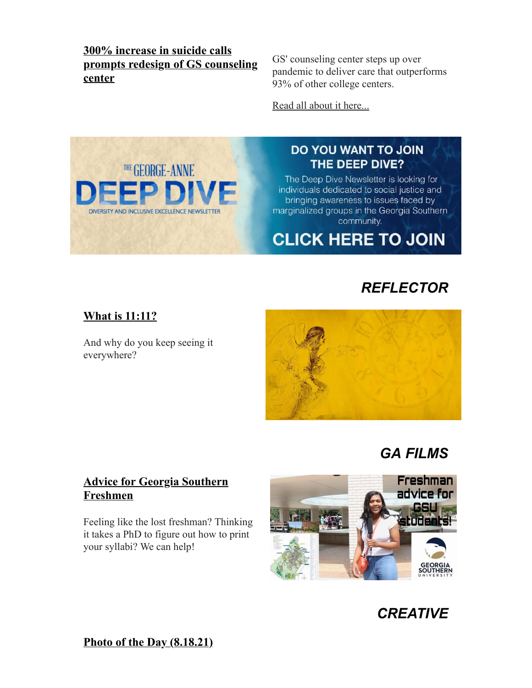**300% increase in suicide calls [prompts redesign of GS counseling](https://r20.rs6.net/tn.jsp?f=001D74Vn77JYQyBwhzuSAeGQBcCzeiWXqKDMG034zjHpLdzeWCLMuGj5I6lVnv5PvZj18hEugD8sJkOqpwubGGWDcCOGN5asHupsIHjFDAWvzCxnzw4hzzF87w2qcP2RMy6R0k_E8Lqw_pRTfxLe7tWyEGZsqjXTCP1ft1DvtO7JwnKbZgdpQLBmrY22UuUqjLwmcTqqOEuJ_3vjVXPcdww3Emlkd9yOsXWoiPNVNzIBctrwOb4QzIgrdLenNeN3rfn9s7IdCvl-JbsUzbgwaLE-w==&c=95CzWsHIsZV4udqli298KeKnybUIQ-9Dk7zoXGEaWsuFmqdX_Oa72A==&ch=2KCKHOH50a2roOJSbzyqzscHJNvEaIfAsVpT9tYcOwEOHwxMdJQyrw==) center**

GS' counseling center steps up over pandemic to deliver care that outperforms 93% of other college centers.

[Read all about it here...](https://r20.rs6.net/tn.jsp?f=001D74Vn77JYQyBwhzuSAeGQBcCzeiWXqKDMG034zjHpLdzeWCLMuGj5I6lVnv5PvZj18hEugD8sJkOqpwubGGWDcCOGN5asHupsIHjFDAWvzCxnzw4hzzF87w2qcP2RMy6R0k_E8Lqw_pRTfxLe7tWyEGZsqjXTCP1ft1DvtO7JwnKbZgdpQLBmrY22UuUqjLwmcTqqOEuJ_3vjVXPcdww3Emlkd9yOsXWoiPNVNzIBctrwOb4QzIgrdLenNeN3rfn9s7IdCvl-JbsUzbgwaLE-w==&c=95CzWsHIsZV4udqli298KeKnybUIQ-9Dk7zoXGEaWsuFmqdX_Oa72A==&ch=2KCKHOH50a2roOJSbzyqzscHJNvEaIfAsVpT9tYcOwEOHwxMdJQyrw==)



## DO YOU WANT TO JOIN THE DEEP DIVE?

The Deep Dive Newsletter is looking for individuals dedicated to social justice and bringing awareness to issues faced by marginalized groups in the Georgia Southern community.

**CLICK HERE TO JOIN** 

## *REFLECTOR*

## **[What is 11:11?](https://r20.rs6.net/tn.jsp?f=001D74Vn77JYQyBwhzuSAeGQBcCzeiWXqKDMG034zjHpLdzeWCLMuGj5I6lVnv5PvZj1NHUoc2HWoNtpfkYjjkKbqnGBgfaR93ldZLfgGNWX-6oSmNkyxdbuRib-QtKEhKWbUI3crfU70l0dqyQEK2L76JaZgrgiR5158AdXvrFDIC3YdcCC2FRp0SM0cOUNOyA&c=95CzWsHIsZV4udqli298KeKnybUIQ-9Dk7zoXGEaWsuFmqdX_Oa72A==&ch=2KCKHOH50a2roOJSbzyqzscHJNvEaIfAsVpT9tYcOwEOHwxMdJQyrw==)**

And why do you keep seeing it everywhere?



## *GA FILMS*

## **[Advice for Georgia Southern](https://r20.rs6.net/tn.jsp?f=001D74Vn77JYQyBwhzuSAeGQBcCzeiWXqKDMG034zjHpLdzeWCLMuGj5I6lVnv5PvZjkgp9tl2lwsdHwnWTVYFNKrbd15ofWP-BcCRJCxxc_2y5zF_TlJD2fJpf9rBNo2RMT2fIcFm3f1W2ZkOdqudvqArzrgpcLl7wAmwNQPrZl9VbQUCZgWZtcA==&c=95CzWsHIsZV4udqli298KeKnybUIQ-9Dk7zoXGEaWsuFmqdX_Oa72A==&ch=2KCKHOH50a2roOJSbzyqzscHJNvEaIfAsVpT9tYcOwEOHwxMdJQyrw==) Freshmen**

Feeling like the lost freshman? Thinking it takes a PhD to figure out how to print your syllabi? We can help!





**[Photo of the Day \(8.18.21\)](https://r20.rs6.net/tn.jsp?f=001D74Vn77JYQyBwhzuSAeGQBcCzeiWXqKDMG034zjHpLdzeWCLMuGj5I6lVnv5PvZjUtQmI8Gb64GyRfkgpWpPDIt8IpviyyQH8URKSypiY0ZsOe262_aUGMvI52kaBYZR7gtTrA-C8FTqtE9EFGMSLyV-vpspvIpABJ7T4b17vMExZl2W4EJsug7hGUmT9-zH1s3syqdOFOM=&c=95CzWsHIsZV4udqli298KeKnybUIQ-9Dk7zoXGEaWsuFmqdX_Oa72A==&ch=2KCKHOH50a2roOJSbzyqzscHJNvEaIfAsVpT9tYcOwEOHwxMdJQyrw==)**